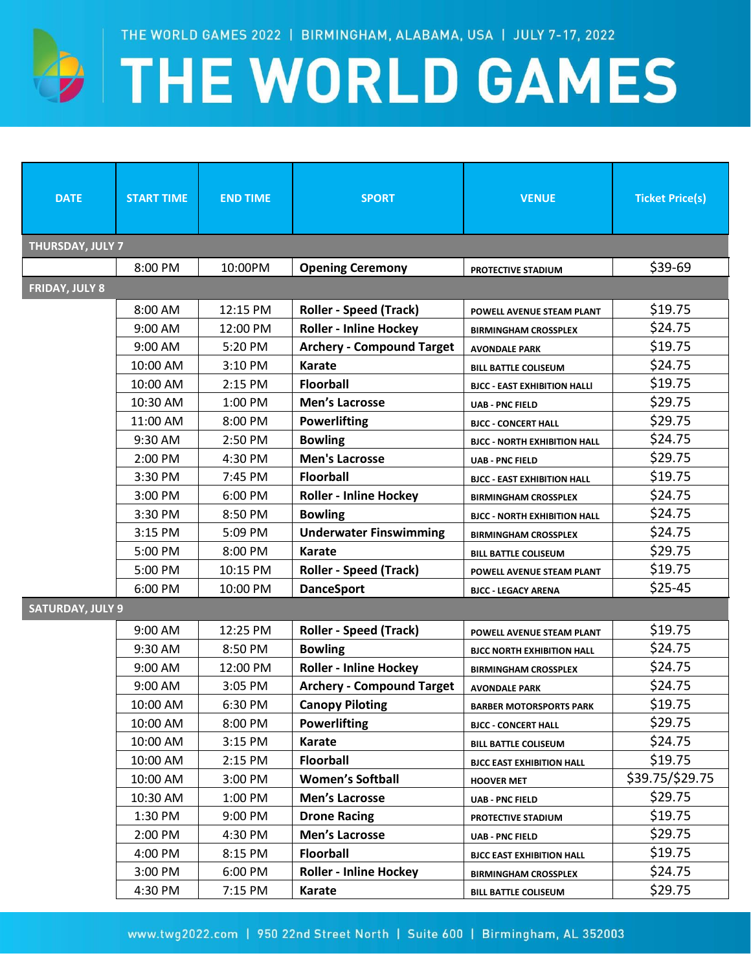

## **EXAMPLE WORLD GAMES**

| <b>DATE</b>             | <b>START TIME</b> | <b>END TIME</b> | <b>SPORT</b>                     | <b>VENUE</b>                        | <b>Ticket Price(s)</b> |  |  |
|-------------------------|-------------------|-----------------|----------------------------------|-------------------------------------|------------------------|--|--|
| THURSDAY, JULY 7        |                   |                 |                                  |                                     |                        |  |  |
|                         | 8:00 PM           | 10:00PM         | <b>Opening Ceremony</b>          | PROTECTIVE STADIUM                  | \$39-69                |  |  |
| <b>FRIDAY, JULY 8</b>   |                   |                 |                                  |                                     |                        |  |  |
|                         | 8:00 AM           | 12:15 PM        | <b>Roller - Speed (Track)</b>    | POWELL AVENUE STEAM PLANT           | \$19.75                |  |  |
|                         | 9:00 AM           | 12:00 PM        | <b>Roller - Inline Hockey</b>    | <b>BIRMINGHAM CROSSPLEX</b>         | \$24.75                |  |  |
|                         | 9:00 AM           | 5:20 PM         | <b>Archery - Compound Target</b> | <b>AVONDALE PARK</b>                | \$19.75                |  |  |
|                         | 10:00 AM          | 3:10 PM         | <b>Karate</b>                    | <b>BILL BATTLE COLISEUM</b>         | \$24.75                |  |  |
|                         | 10:00 AM          | 2:15 PM         | <b>Floorball</b>                 | <b>BJCC - EAST EXHIBITION HALLI</b> | \$19.75                |  |  |
|                         | 10:30 AM          | 1:00 PM         | <b>Men's Lacrosse</b>            | <b>UAB - PNC FIELD</b>              | \$29.75                |  |  |
|                         | 11:00 AM          | 8:00 PM         | <b>Powerlifting</b>              | <b>BJCC - CONCERT HALL</b>          | \$29.75                |  |  |
|                         | 9:30 AM           | 2:50 PM         | <b>Bowling</b>                   | <b>BJCC - NORTH EXHIBITION HALL</b> | \$24.75                |  |  |
|                         | 2:00 PM           | 4:30 PM         | <b>Men's Lacrosse</b>            | <b>UAB - PNC FIELD</b>              | \$29.75                |  |  |
|                         | 3:30 PM           | 7:45 PM         | <b>Floorball</b>                 | <b>BJCC - EAST EXHIBITION HALL</b>  | \$19.75                |  |  |
|                         | 3:00 PM           | 6:00 PM         | <b>Roller - Inline Hockey</b>    | <b>BIRMINGHAM CROSSPLEX</b>         | \$24.75                |  |  |
|                         | 3:30 PM           | 8:50 PM         | <b>Bowling</b>                   | <b>BJCC - NORTH EXHIBITION HALL</b> | \$24.75                |  |  |
|                         | 3:15 PM           | 5:09 PM         | <b>Underwater Finswimming</b>    | <b>BIRMINGHAM CROSSPLEX</b>         | \$24.75                |  |  |
|                         | 5:00 PM           | 8:00 PM         | Karate                           | <b>BILL BATTLE COLISEUM</b>         | \$29.75                |  |  |
|                         | 5:00 PM           | 10:15 PM        | <b>Roller - Speed (Track)</b>    | POWELL AVENUE STEAM PLANT           | \$19.75                |  |  |
|                         | 6:00 PM           | 10:00 PM        | <b>DanceSport</b>                | <b>BJCC - LEGACY ARENA</b>          | \$25-45                |  |  |
| <b>SATURDAY, JULY 9</b> |                   |                 |                                  |                                     |                        |  |  |
|                         | 9:00 AM           | 12:25 PM        | <b>Roller - Speed (Track)</b>    | POWELL AVENUE STEAM PLANT           | \$19.75                |  |  |
|                         | 9:30 AM           | 8:50 PM         | <b>Bowling</b>                   | <b>BJCC NORTH EXHIBITION HALL</b>   | \$24.75                |  |  |
|                         | 9:00 AM           | 12:00 PM        | <b>Roller - Inline Hockey</b>    | <b>BIRMINGHAM CROSSPLEX</b>         | \$24.75                |  |  |
|                         | 9:00 AM           | 3:05 PM         | <b>Archery - Compound Target</b> | <b>AVONDALE PARK</b>                | \$24.75                |  |  |
|                         | 10:00 AM          | 6:30 PM         | <b>Canopy Piloting</b>           | <b>BARBER MOTORSPORTS PARK</b>      | \$19.75                |  |  |
|                         | 10:00 AM          | 8:00 PM         | <b>Powerlifting</b>              | <b>BJCC - CONCERT HALL</b>          | \$29.75                |  |  |
|                         | 10:00 AM          | 3:15 PM         | <b>Karate</b>                    | <b>BILL BATTLE COLISEUM</b>         | \$24.75                |  |  |
|                         | 10:00 AM          | 2:15 PM         | <b>Floorball</b>                 | <b>BJCC EAST EXHIBITION HALL</b>    | \$19.75                |  |  |
|                         | 10:00 AM          | 3:00 PM         | <b>Women's Softball</b>          | <b>HOOVER MET</b>                   | \$39.75/\$29.75        |  |  |
|                         | 10:30 AM          | 1:00 PM         | <b>Men's Lacrosse</b>            | <b>UAB - PNC FIELD</b>              | \$29.75                |  |  |
|                         | 1:30 PM           | 9:00 PM         | <b>Drone Racing</b>              | PROTECTIVE STADIUM                  | \$19.75                |  |  |
|                         | 2:00 PM           | 4:30 PM         | Men's Lacrosse                   | <b>UAB - PNC FIELD</b>              | \$29.75                |  |  |
|                         | 4:00 PM           | 8:15 PM         | <b>Floorball</b>                 | <b>BJCC EAST EXHIBITION HALL</b>    | \$19.75                |  |  |
|                         | 3:00 PM           | 6:00 PM         | <b>Roller - Inline Hockey</b>    | <b>BIRMINGHAM CROSSPLEX</b>         | \$24.75                |  |  |
|                         | 4:30 PM           | 7:15 PM         | Karate                           | <b>BILL BATTLE COLISEUM</b>         | \$29.75                |  |  |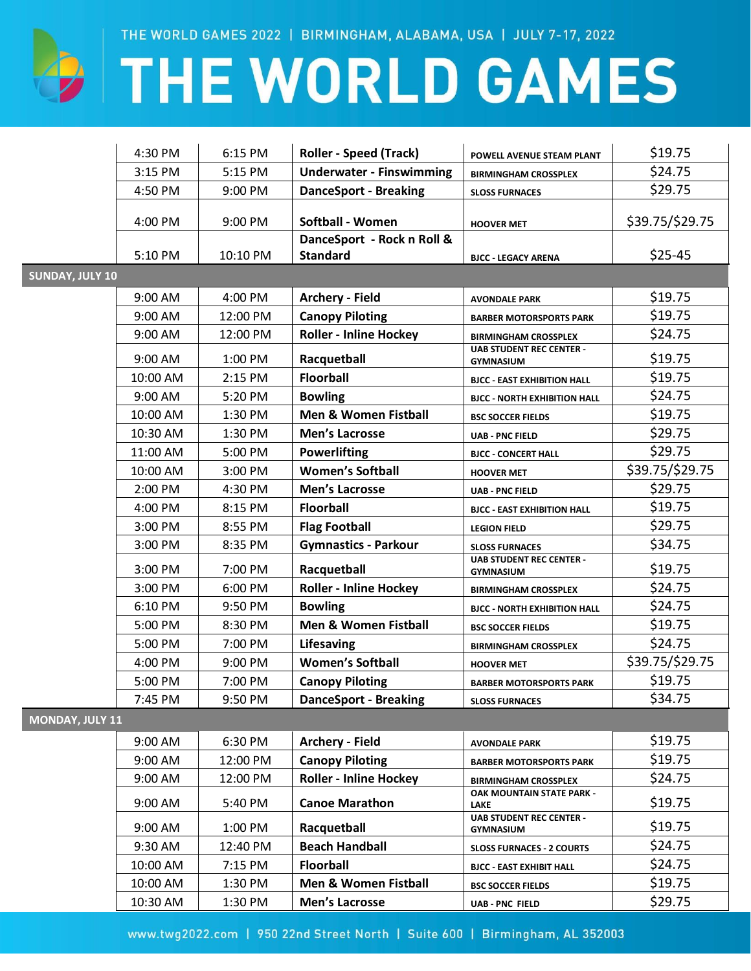$\bigoplus$ 

# **THE WORLD GAMES**

|                        | 4:30 PM  | 6:15 PM  | <b>Roller - Speed (Track)</b>                 | POWELL AVENUE STEAM PLANT                           | \$19.75         |
|------------------------|----------|----------|-----------------------------------------------|-----------------------------------------------------|-----------------|
|                        | 3:15 PM  | 5:15 PM  | <b>Underwater - Finswimming</b>               | <b>BIRMINGHAM CROSSPLEX</b>                         | \$24.75         |
|                        | 4:50 PM  | 9:00 PM  | <b>DanceSport - Breaking</b>                  | <b>SLOSS FURNACES</b>                               | \$29.75         |
|                        | 4:00 PM  | 9:00 PM  | Softball - Women                              | <b>HOOVER MET</b>                                   | \$39.75/\$29.75 |
|                        | 5:10 PM  | 10:10 PM | DanceSport - Rock n Roll &<br><b>Standard</b> | <b>BJCC - LEGACY ARENA</b>                          | $$25-45$        |
| <b>SUNDAY, JULY 10</b> |          |          |                                               |                                                     |                 |
|                        | 9:00 AM  | 4:00 PM  | <b>Archery - Field</b>                        | <b>AVONDALE PARK</b>                                | \$19.75         |
|                        | 9:00 AM  | 12:00 PM | <b>Canopy Piloting</b>                        | <b>BARBER MOTORSPORTS PARK</b>                      | \$19.75         |
|                        | 9:00 AM  | 12:00 PM | <b>Roller - Inline Hockey</b>                 | <b>BIRMINGHAM CROSSPLEX</b>                         | \$24.75         |
|                        | 9:00 AM  | 1:00 PM  | Racquetball                                   | <b>UAB STUDENT REC CENTER -</b><br><b>GYMNASIUM</b> | \$19.75         |
|                        | 10:00 AM | 2:15 PM  | <b>Floorball</b>                              | <b>BJCC - EAST EXHIBITION HALL</b>                  | \$19.75         |
|                        | 9:00 AM  | 5:20 PM  | <b>Bowling</b>                                | <b>BJCC - NORTH EXHIBITION HALL</b>                 | \$24.75         |
|                        | 10:00 AM | 1:30 PM  | <b>Men &amp; Women Fistball</b>               | <b>BSC SOCCER FIELDS</b>                            | \$19.75         |
|                        | 10:30 AM | 1:30 PM  | <b>Men's Lacrosse</b>                         | <b>UAB - PNC FIELD</b>                              | \$29.75         |
|                        | 11:00 AM | 5:00 PM  | <b>Powerlifting</b>                           | <b>BJCC - CONCERT HALL</b>                          | \$29.75         |
|                        | 10:00 AM | 3:00 PM  | <b>Women's Softball</b>                       | <b>HOOVER MET</b>                                   | \$39.75/\$29.75 |
|                        | 2:00 PM  | 4:30 PM  | <b>Men's Lacrosse</b>                         | UAB - PNC FIELD                                     | \$29.75         |
|                        | 4:00 PM  | 8:15 PM  | <b>Floorball</b>                              | <b>BJCC - EAST EXHIBITION HALL</b>                  | \$19.75         |
|                        | 3:00 PM  | 8:55 PM  | <b>Flag Football</b>                          | <b>LEGION FIELD</b>                                 | \$29.75         |
|                        | 3:00 PM  | 8:35 PM  | <b>Gymnastics - Parkour</b>                   | <b>SLOSS FURNACES</b>                               | \$34.75         |
|                        | 3:00 PM  | 7:00 PM  | Racquetball                                   | <b>UAB STUDENT REC CENTER -</b><br><b>GYMNASIUM</b> | \$19.75         |
|                        | 3:00 PM  | 6:00 PM  | <b>Roller - Inline Hockey</b>                 | <b>BIRMINGHAM CROSSPLEX</b>                         | \$24.75         |
|                        | 6:10 PM  | 9:50 PM  | <b>Bowling</b>                                | <b>BJCC - NORTH EXHIBITION HALL</b>                 | \$24.75         |
|                        | 5:00 PM  | 8:30 PM  | <b>Men &amp; Women Fistball</b>               | <b>BSC SOCCER FIELDS</b>                            | \$19.75         |
|                        | 5:00 PM  | 7:00 PM  | Lifesaving                                    | <b>BIRMINGHAM CROSSPLEX</b>                         | \$24.75         |
|                        | 4:00 PM  | 9:00 PM  | <b>Women's Softball</b>                       | <b>HOOVER MET</b>                                   | \$39.75/\$29.75 |
|                        | 5:00 PM  | 7:00 PM  | <b>Canopy Piloting</b>                        | <b>BARBER MOTORSPORTS PARK</b>                      | \$19.75         |
|                        | 7:45 PM  | 9:50 PM  | <b>DanceSport - Breaking</b>                  | <b>SLOSS FURNACES</b>                               | \$34.75         |
| MONDAY, JULY 11        |          |          |                                               |                                                     |                 |
|                        | 9:00 AM  | 6:30 PM  | <b>Archery - Field</b>                        | <b>AVONDALE PARK</b>                                | \$19.75         |
|                        | 9:00 AM  | 12:00 PM | <b>Canopy Piloting</b>                        | <b>BARBER MOTORSPORTS PARK</b>                      | \$19.75         |
|                        | 9:00 AM  | 12:00 PM | <b>Roller - Inline Hockey</b>                 | <b>BIRMINGHAM CROSSPLEX</b>                         | \$24.75         |
|                        | 9:00 AM  | 5:40 PM  | <b>Canoe Marathon</b>                         | OAK MOUNTAIN STATE PARK -<br><b>LAKE</b>            | \$19.75         |
|                        | 9:00 AM  | 1:00 PM  | Racquetball                                   | <b>UAB STUDENT REC CENTER -</b><br>GYMNASIUM        | \$19.75         |
|                        | 9:30 AM  | 12:40 PM | <b>Beach Handball</b>                         | <b>SLOSS FURNACES - 2 COURTS</b>                    | \$24.75         |
|                        | 10:00 AM | 7:15 PM  | <b>Floorball</b>                              | <b>BJCC - EAST EXHIBIT HALL</b>                     | \$24.75         |
|                        | 10:00 AM | 1:30 PM  | Men & Women Fistball                          | <b>BSC SOCCER FIELDS</b>                            | \$19.75         |
|                        | 10:30 AM | 1:30 PM  | Men's Lacrosse                                | <b>UAB - PNC FIELD</b>                              | \$29.75         |

www.twg2022.com | 950 22nd Street North | Suite 600 | Birmingham, AL 352003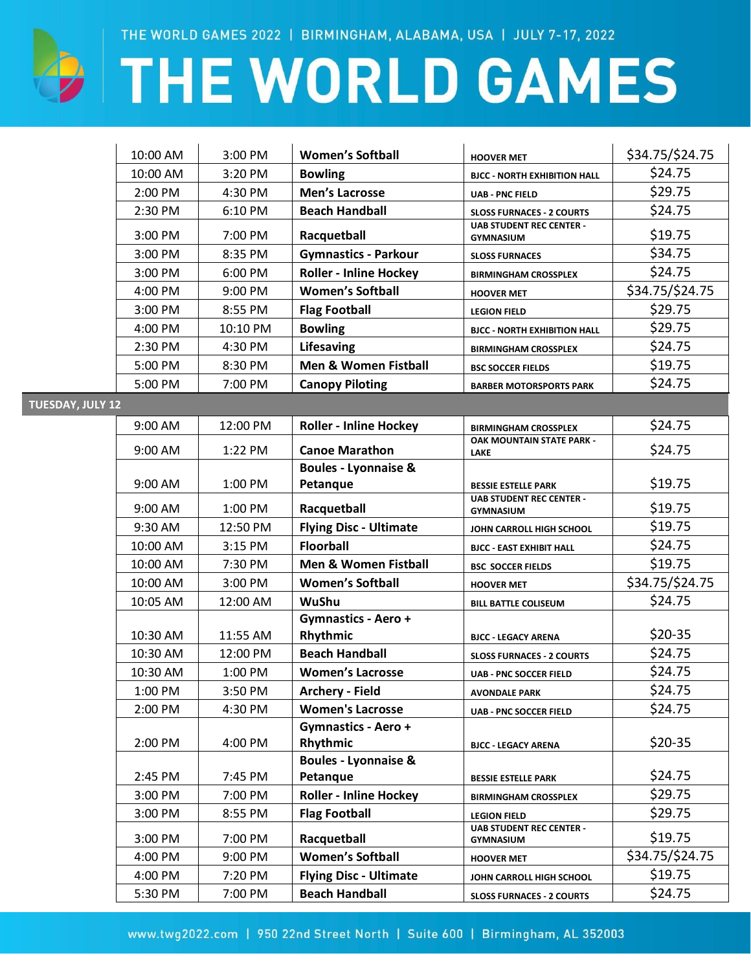

# THE WORLD GAMES

|                         | 10:00 AM  | 3:00 PM   | <b>Women's Softball</b>                     | <b>HOOVER MET</b>                                   | \$34.75/\$24.75 |
|-------------------------|-----------|-----------|---------------------------------------------|-----------------------------------------------------|-----------------|
|                         | 10:00 AM  | 3:20 PM   | <b>Bowling</b>                              | <b>BJCC - NORTH EXHIBITION HALL</b>                 | \$24.75         |
|                         | 2:00 PM   | 4:30 PM   | <b>Men's Lacrosse</b>                       | <b>UAB - PNC FIELD</b>                              | \$29.75         |
|                         | 2:30 PM   | 6:10 PM   | <b>Beach Handball</b>                       | <b>SLOSS FURNACES - 2 COURTS</b>                    | \$24.75         |
|                         | 3:00 PM   | 7:00 PM   | Racquetball                                 | <b>UAB STUDENT REC CENTER -</b><br><b>GYMNASIUM</b> | \$19.75         |
|                         | 3:00 PM   | 8:35 PM   | <b>Gymnastics - Parkour</b>                 | <b>SLOSS FURNACES</b>                               | \$34.75         |
|                         | 3:00 PM   | 6:00 PM   | <b>Roller - Inline Hockey</b>               | <b>BIRMINGHAM CROSSPLEX</b>                         | \$24.75         |
|                         | 4:00 PM   | $9:00$ PM | <b>Women's Softball</b>                     | <b>HOOVER MET</b>                                   | \$34.75/\$24.75 |
|                         | 3:00 PM   | 8:55 PM   | <b>Flag Football</b>                        | <b>LEGION FIELD</b>                                 | \$29.75         |
|                         | 4:00 PM   | 10:10 PM  | <b>Bowling</b>                              | <b>BJCC - NORTH EXHIBITION HALL</b>                 | \$29.75         |
|                         | 2:30 PM   | 4:30 PM   | Lifesaving                                  | <b>BIRMINGHAM CROSSPLEX</b>                         | \$24.75         |
|                         | 5:00 PM   | 8:30 PM   | Men & Women Fistball                        | <b>BSC SOCCER FIELDS</b>                            | \$19.75         |
|                         | 5:00 PM   | 7:00 PM   | <b>Canopy Piloting</b>                      | <b>BARBER MOTORSPORTS PARK</b>                      | \$24.75         |
| <b>TUESDAY, JULY 12</b> |           |           |                                             |                                                     |                 |
|                         | 9:00 AM   | 12:00 PM  | <b>Roller - Inline Hockey</b>               | <b>BIRMINGHAM CROSSPLEX</b>                         | \$24.75         |
|                         | 9:00 AM   | 1:22 PM   | <b>Canoe Marathon</b>                       | OAK MOUNTAIN STATE PARK -<br><b>LAKE</b>            | \$24.75         |
|                         |           |           | <b>Boules - Lyonnaise &amp;</b>             |                                                     |                 |
|                         | $9:00$ AM | 1:00 PM   | Petanque                                    | <b>BESSIE ESTELLE PARK</b>                          | \$19.75         |
|                         | 9:00 AM   | 1:00 PM   | Racquetball                                 | <b>UAB STUDENT REC CENTER -</b><br><b>GYMNASIUM</b> | \$19.75         |
|                         | 9:30 AM   | 12:50 PM  | <b>Flying Disc - Ultimate</b>               | JOHN CARROLL HIGH SCHOOL                            | \$19.75         |
|                         | 10:00 AM  | 3:15 PM   | <b>Floorball</b>                            | <b>BJCC - EAST EXHIBIT HALL</b>                     | \$24.75         |
|                         | 10:00 AM  | 7:30 PM   | Men & Women Fistball                        | <b>BSC SOCCER FIELDS</b>                            | \$19.75         |
|                         | 10:00 AM  | 3:00 PM   | <b>Women's Softball</b>                     | <b>HOOVER MET</b>                                   | \$34.75/\$24.75 |
|                         | 10:05 AM  | 12:00 AM  | WuShu                                       | <b>BILL BATTLE COLISEUM</b>                         | \$24.75         |
|                         | 10:30 AM  | 11:55 AM  | <b>Gymnastics - Aero +</b><br>Rhythmic      | <b>BJCC - LEGACY ARENA</b>                          | $$20-35$        |
|                         | 10:30 AM  | 12:00 PM  | <b>Beach Handball</b>                       | <b>SLOSS FURNACES - 2 COURTS</b>                    | \$24.75         |
|                         | 10:30 AM  | 1:00 PM   | <b>Women's Lacrosse</b>                     | <b>UAB - PNC SOCCER FIELD</b>                       | \$24.75         |
|                         | 1:00 PM   | 3:50 PM   | <b>Archery - Field</b>                      | <b>AVONDALE PARK</b>                                | \$24.75         |
|                         | 2:00 PM   | 4:30 PM   | <b>Women's Lacrosse</b>                     | <b>UAB - PNC SOCCER FIELD</b>                       | \$24.75         |
|                         | 2:00 PM   | 4:00 PM   | <b>Gymnastics - Aero +</b><br>Rhythmic      | <b>BJCC - LEGACY ARENA</b>                          | $$20-35$        |
|                         | 2:45 PM   | 7:45 PM   | <b>Boules - Lyonnaise &amp;</b><br>Petanque | <b>BESSIE ESTELLE PARK</b>                          | \$24.75         |
|                         | 3:00 PM   | 7:00 PM   | <b>Roller - Inline Hockey</b>               | <b>BIRMINGHAM CROSSPLEX</b>                         | \$29.75         |
|                         | 3:00 PM   | 8:55 PM   | <b>Flag Football</b>                        | <b>LEGION FIELD</b>                                 | \$29.75         |
|                         | 3:00 PM   | 7:00 PM   | Racquetball                                 | <b>UAB STUDENT REC CENTER -</b><br><b>GYMNASIUM</b> | \$19.75         |
|                         | 4:00 PM   | 9:00 PM   | <b>Women's Softball</b>                     | <b>HOOVER MET</b>                                   | \$34.75/\$24.75 |
|                         | 4:00 PM   | 7:20 PM   | <b>Flying Disc - Ultimate</b>               | JOHN CARROLL HIGH SCHOOL                            | \$19.75         |
|                         | 5:30 PM   | 7:00 PM   | <b>Beach Handball</b>                       | <b>SLOSS FURNACES - 2 COURTS</b>                    | \$24.75         |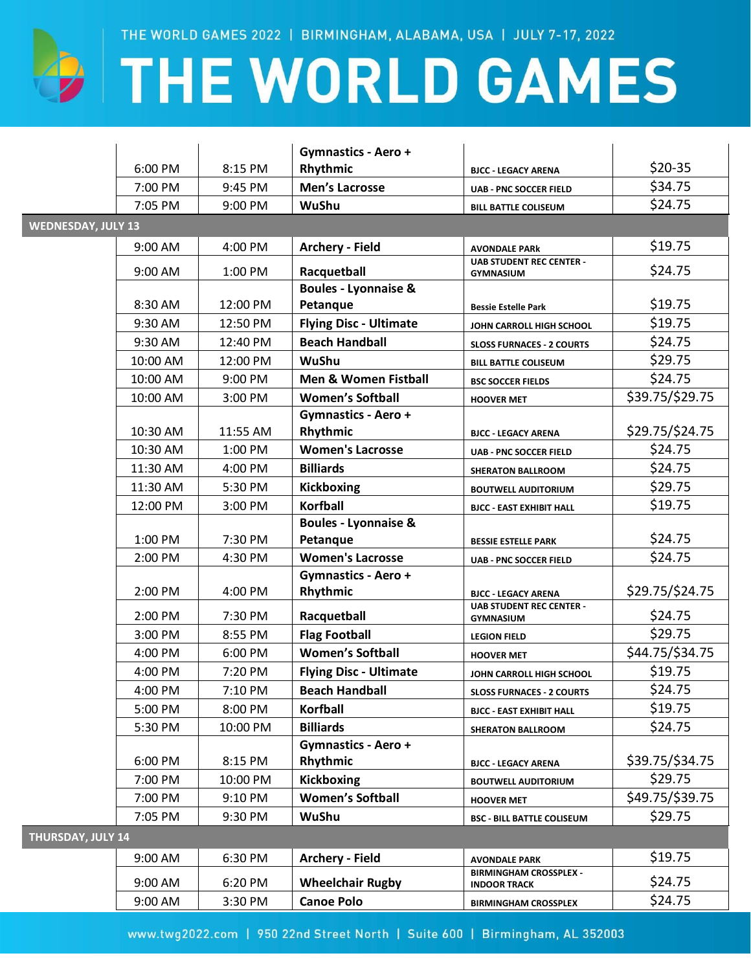

### **EXTHE WORLD GAMES**

|                           |           |          | <b>Gymnastics - Aero +</b>             |                                                      |                 |  |  |
|---------------------------|-----------|----------|----------------------------------------|------------------------------------------------------|-----------------|--|--|
|                           | 6:00 PM   | 8:15 PM  | Rhythmic                               | <b>BJCC - LEGACY ARENA</b>                           | $$20-35$        |  |  |
|                           | 7:00 PM   | 9:45 PM  | <b>Men's Lacrosse</b>                  | <b>UAB - PNC SOCCER FIELD</b>                        | \$34.75         |  |  |
|                           | 7:05 PM   | 9:00 PM  | WuShu                                  | <b>BILL BATTLE COLISEUM</b>                          | \$24.75         |  |  |
| <b>WEDNESDAY, JULY 13</b> |           |          |                                        |                                                      |                 |  |  |
|                           | 9:00 AM   | 4:00 PM  | <b>Archery - Field</b>                 | <b>AVONDALE PARK</b>                                 | \$19.75         |  |  |
|                           | 9:00 AM   | 1:00 PM  | Racquetball                            | <b>UAB STUDENT REC CENTER -</b><br><b>GYMNASIUM</b>  | \$24.75         |  |  |
|                           |           |          | <b>Boules - Lyonnaise &amp;</b>        |                                                      |                 |  |  |
|                           | 8:30 AM   | 12:00 PM | Petanque                               | <b>Bessie Estelle Park</b>                           | \$19.75         |  |  |
|                           | 9:30 AM   | 12:50 PM | <b>Flying Disc - Ultimate</b>          | JOHN CARROLL HIGH SCHOOL                             | \$19.75         |  |  |
|                           | 9:30 AM   | 12:40 PM | <b>Beach Handball</b>                  | <b>SLOSS FURNACES - 2 COURTS</b>                     | \$24.75         |  |  |
|                           | 10:00 AM  | 12:00 PM | <b>WuShu</b>                           | <b>BILL BATTLE COLISEUM</b>                          | \$29.75         |  |  |
|                           | 10:00 AM  | 9:00 PM  | <b>Men &amp; Women Fistball</b>        | <b>BSC SOCCER FIELDS</b>                             | \$24.75         |  |  |
|                           | 10:00 AM  | 3:00 PM  | <b>Women's Softball</b>                | <b>HOOVER MET</b>                                    | \$39.75/\$29.75 |  |  |
|                           |           |          | <b>Gymnastics - Aero +</b>             |                                                      |                 |  |  |
|                           | 10:30 AM  | 11:55 AM | Rhythmic                               | <b>BJCC - LEGACY ARENA</b>                           | \$29.75/\$24.75 |  |  |
|                           | 10:30 AM  | 1:00 PM  | <b>Women's Lacrosse</b>                | <b>UAB - PNC SOCCER FIELD</b>                        | \$24.75         |  |  |
|                           | 11:30 AM  | 4:00 PM  | <b>Billiards</b>                       | <b>SHERATON BALLROOM</b>                             | \$24.75         |  |  |
|                           | 11:30 AM  | 5:30 PM  | <b>Kickboxing</b>                      | <b>BOUTWELL AUDITORIUM</b>                           | \$29.75         |  |  |
|                           | 12:00 PM  | 3:00 PM  | <b>Korfball</b>                        | <b>BJCC - EAST EXHIBIT HALL</b>                      | \$19.75         |  |  |
|                           |           |          | <b>Boules - Lyonnaise &amp;</b>        |                                                      |                 |  |  |
|                           | 1:00 PM   | 7:30 PM  | Petanque                               | <b>BESSIE ESTELLE PARK</b>                           | \$24.75         |  |  |
|                           | 2:00 PM   | 4:30 PM  | <b>Women's Lacrosse</b>                | <b>UAB - PNC SOCCER FIELD</b>                        | \$24.75         |  |  |
|                           | 2:00 PM   | 4:00 PM  | Gymnastics - Aero +<br>Rhythmic        | <b>BJCC - LEGACY ARENA</b>                           | \$29.75/\$24.75 |  |  |
|                           | 2:00 PM   | 7:30 PM  | Racquetball                            | <b>UAB STUDENT REC CENTER -</b><br><b>GYMNASIUM</b>  | \$24.75         |  |  |
|                           | 3:00 PM   | 8:55 PM  | <b>Flag Football</b>                   |                                                      | \$29.75         |  |  |
|                           | 4:00 PM   | 6:00 PM  | <b>Women's Softball</b>                | <b>LEGION FIELD</b>                                  | \$44.75/\$34.75 |  |  |
|                           | 4:00 PM   | 7:20 PM  | <b>Flying Disc - Ultimate</b>          | <b>HOOVER MET</b>                                    | \$19.75         |  |  |
|                           |           | 7:10 PM  | <b>Beach Handball</b>                  | JOHN CARROLL HIGH SCHOOL                             | \$24.75         |  |  |
|                           | 4:00 PM   |          |                                        | <b>SLOSS FURNACES - 2 COURTS</b>                     | \$19.75         |  |  |
|                           | 5:00 PM   | 8:00 PM  | Korfball                               | <b>BJCC - EAST EXHIBIT HALL</b>                      |                 |  |  |
|                           | 5:30 PM   | 10:00 PM | <b>Billiards</b>                       | <b>SHERATON BALLROOM</b>                             | \$24.75         |  |  |
|                           | 6:00 PM   | 8:15 PM  | <b>Gymnastics - Aero +</b><br>Rhythmic | <b>BJCC - LEGACY ARENA</b>                           | \$39.75/\$34.75 |  |  |
|                           | 7:00 PM   | 10:00 PM | <b>Kickboxing</b>                      | <b>BOUTWELL AUDITORIUM</b>                           | \$29.75         |  |  |
|                           | 7:00 PM   | 9:10 PM  | <b>Women's Softball</b>                | <b>HOOVER MET</b>                                    | \$49.75/\$39.75 |  |  |
|                           | 7:05 PM   | 9:30 PM  | WuShu                                  | <b>BSC - BILL BATTLE COLISEUM</b>                    | \$29.75         |  |  |
| <b>THURSDAY, JULY 14</b>  |           |          |                                        |                                                      |                 |  |  |
|                           | $9:00$ AM | 6:30 PM  | <b>Archery - Field</b>                 | <b>AVONDALE PARK</b>                                 | \$19.75         |  |  |
|                           | 9:00 AM   | 6:20 PM  | <b>Wheelchair Rugby</b>                | <b>BIRMINGHAM CROSSPLEX -</b><br><b>INDOOR TRACK</b> | \$24.75         |  |  |
|                           | 9:00 AM   | 3:30 PM  | <b>Canoe Polo</b>                      | <b>BIRMINGHAM CROSSPLEX</b>                          | \$24.75         |  |  |
|                           |           |          |                                        |                                                      |                 |  |  |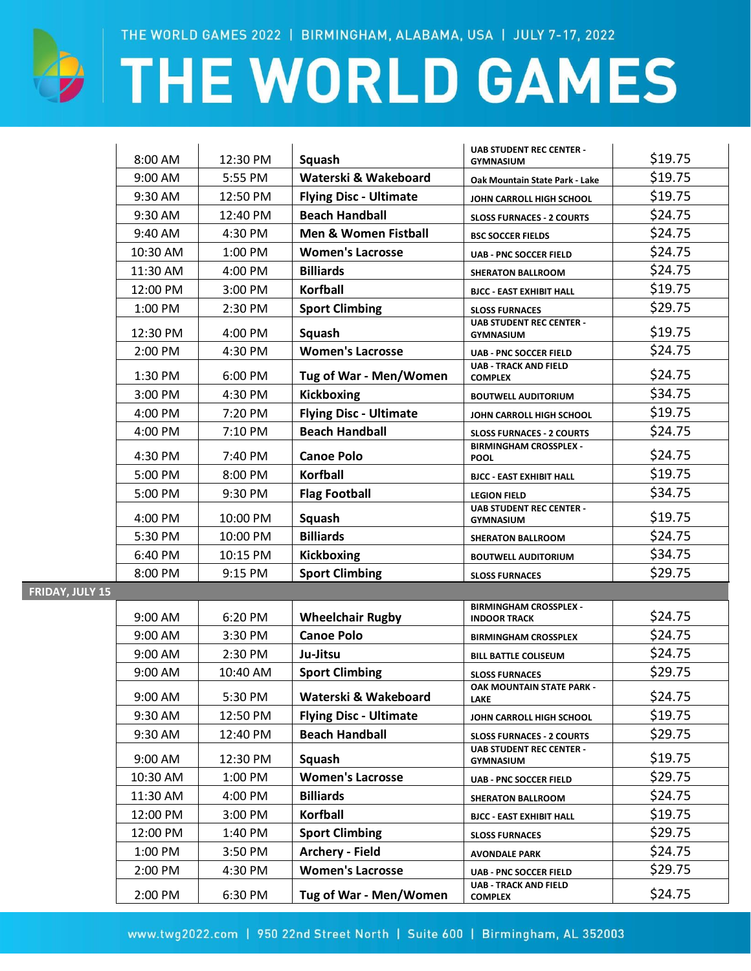

FRIDAY, JULY 1

# **EXAMPLE WORLD GAMES**

|   | 8:00 AM            | 12:30 PM            | Squash                                     | <b>UAB STUDENT REC CENTER -</b><br><b>GYMNASIUM</b>       | \$19.75 |
|---|--------------------|---------------------|--------------------------------------------|-----------------------------------------------------------|---------|
|   | 9:00 AM            | 5:55 PM             | Waterski & Wakeboard                       | Oak Mountain State Park - Lake                            | \$19.75 |
|   | 9:30 AM            | 12:50 PM            | <b>Flying Disc - Ultimate</b>              | JOHN CARROLL HIGH SCHOOL                                  | \$19.75 |
|   | 9:30 AM            | 12:40 PM            | <b>Beach Handball</b>                      | <b>SLOSS FURNACES - 2 COURTS</b>                          | \$24.75 |
|   | 9:40 AM            | 4:30 PM             | <b>Men &amp; Women Fistball</b>            | <b>BSC SOCCER FIELDS</b>                                  | \$24.75 |
|   | 10:30 AM           | 1:00 PM             | <b>Women's Lacrosse</b>                    | <b>UAB - PNC SOCCER FIELD</b>                             | \$24.75 |
|   | 11:30 AM           | 4:00 PM             | <b>Billiards</b>                           | <b>SHERATON BALLROOM</b>                                  | \$24.75 |
|   | 12:00 PM           | 3:00 PM             | <b>Korfball</b>                            | <b>BJCC - EAST EXHIBIT HALL</b>                           | \$19.75 |
|   | 1:00 PM            | 2:30 PM             | <b>Sport Climbing</b>                      | <b>SLOSS FURNACES</b>                                     | \$29.75 |
|   | 12:30 PM           | 4:00 PM             | Squash                                     | <b>UAB STUDENT REC CENTER -</b><br><b>GYMNASIUM</b>       | \$19.75 |
|   | 2:00 PM            | 4:30 PM             | <b>Women's Lacrosse</b>                    | <b>UAB - PNC SOCCER FIELD</b>                             | \$24.75 |
|   | 1:30 PM            | 6:00 PM             | Tug of War - Men/Women                     | <b>UAB - TRACK AND FIELD</b><br><b>COMPLEX</b>            | \$24.75 |
|   | 3:00 PM            | 4:30 PM             | <b>Kickboxing</b>                          | <b>BOUTWELL AUDITORIUM</b>                                | \$34.75 |
|   | 4:00 PM            | 7:20 PM             | <b>Flying Disc - Ultimate</b>              | JOHN CARROLL HIGH SCHOOL                                  | \$19.75 |
|   | 4:00 PM            | 7:10 PM             | <b>Beach Handball</b>                      | <b>SLOSS FURNACES - 2 COURTS</b>                          | \$24.75 |
|   | 4:30 PM            | 7:40 PM             | <b>Canoe Polo</b>                          | <b>BIRMINGHAM CROSSPLEX -</b><br><b>POOL</b>              | \$24.75 |
|   | 5:00 PM            | 8:00 PM             | <b>Korfball</b>                            | <b>BJCC - EAST EXHIBIT HALL</b>                           | \$19.75 |
|   | 5:00 PM            | 9:30 PM             | <b>Flag Football</b>                       | <b>LEGION FIELD</b>                                       | \$34.75 |
|   |                    |                     |                                            | <b>UAB STUDENT REC CENTER -</b>                           | \$19.75 |
|   | 4:00 PM            | 10:00 PM            | Squash<br><b>Billiards</b>                 | <b>GYMNASIUM</b>                                          | \$24.75 |
|   | 5:30 PM            | 10:00 PM            |                                            | <b>SHERATON BALLROOM</b>                                  | \$34.75 |
|   | 6:40 PM<br>8:00 PM | 10:15 PM<br>9:15 PM | <b>Kickboxing</b><br><b>Sport Climbing</b> | <b>BOUTWELL AUDITORIUM</b>                                | \$29.75 |
| 5 |                    |                     |                                            | <b>SLOSS FURNACES</b>                                     |         |
|   |                    |                     |                                            | <b>BIRMINGHAM CROSSPLEX -</b>                             |         |
|   | 9:00 AM            | 6:20 PM             | <b>Wheelchair Rugby</b>                    | <b>INDOOR TRACK</b>                                       | \$24.75 |
|   | 9:00 AM            | 3:30 PM             | <b>Canoe Polo</b>                          | <b>BIRMINGHAM CROSSPLEX</b>                               | \$24.75 |
|   | 9:00 AM            | 2:30 PM             | Ju-Jitsu                                   | <b>BILL BATTLE COLISEUM</b>                               | \$24.75 |
|   | 9:00 AM            | 10:40 AM            | <b>Sport Climbing</b>                      | <b>SLOSS FURNACES</b><br><b>OAK MOUNTAIN STATE PARK -</b> | \$29.75 |
|   | 9:00 AM            | 5:30 PM             | Waterski & Wakeboard                       | <b>LAKE</b>                                               | \$24.75 |
|   | 9:30 AM            | 12:50 PM            | <b>Flying Disc - Ultimate</b>              | JOHN CARROLL HIGH SCHOOL                                  | \$19.75 |
|   | 9:30 AM            | 12:40 PM            | <b>Beach Handball</b>                      | <b>SLOSS FURNACES - 2 COURTS</b>                          | \$29.75 |
|   | 9:00 AM            | 12:30 PM            | Squash                                     | <b>UAB STUDENT REC CENTER -</b><br><b>GYMNASIUM</b>       | \$19.75 |
|   | 10:30 AM           | 1:00 PM             | <b>Women's Lacrosse</b>                    | <b>UAB - PNC SOCCER FIELD</b>                             | \$29.75 |
|   | 11:30 AM           | 4:00 PM             | <b>Billiards</b>                           | <b>SHERATON BALLROOM</b>                                  | \$24.75 |
|   | 12:00 PM           | 3:00 PM             | <b>Korfball</b>                            | <b>BJCC - EAST EXHIBIT HALL</b>                           | \$19.75 |
|   | 12:00 PM           | 1:40 PM             | <b>Sport Climbing</b>                      | <b>SLOSS FURNACES</b>                                     | \$29.75 |
|   | 1:00 PM            | 3:50 PM             | <b>Archery - Field</b>                     | <b>AVONDALE PARK</b>                                      | \$24.75 |
|   | 2:00 PM            | 4:30 PM             | <b>Women's Lacrosse</b>                    | <b>UAB - PNC SOCCER FIELD</b>                             | \$29.75 |
|   | 2:00 PM            | 6:30 PM             | Tug of War - Men/Women                     | <b>UAB - TRACK AND FIELD</b><br><b>COMPLEX</b>            | \$24.75 |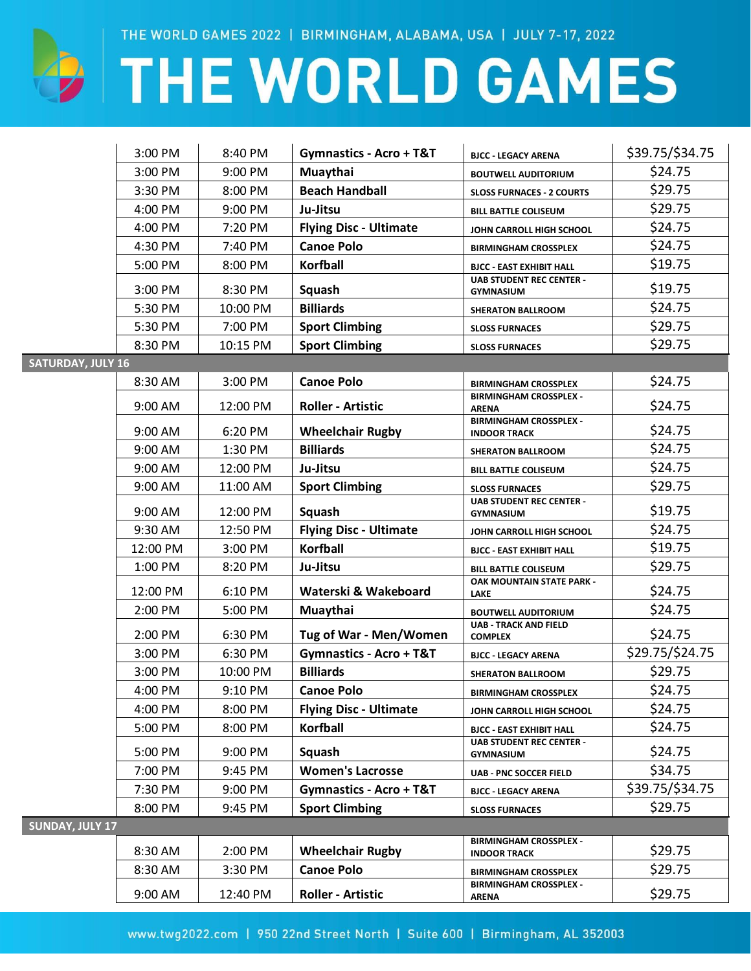

## **DI THE WORLD GAMES**

|                          | 3:00 PM   | 8:40 PM  | <b>Gymnastics - Acro + T&amp;T</b> | <b>BJCC - LEGACY ARENA</b>                           | \$39.75/\$34.75 |
|--------------------------|-----------|----------|------------------------------------|------------------------------------------------------|-----------------|
|                          | 3:00 PM   | 9:00 PM  | Muaythai                           | <b>BOUTWELL AUDITORIUM</b>                           | \$24.75         |
|                          | 3:30 PM   | 8:00 PM  | <b>Beach Handball</b>              | <b>SLOSS FURNACES - 2 COURTS</b>                     | \$29.75         |
|                          | 4:00 PM   | 9:00 PM  | Ju-Jitsu                           | <b>BILL BATTLE COLISEUM</b>                          | \$29.75         |
|                          | 4:00 PM   | 7:20 PM  | <b>Flying Disc - Ultimate</b>      | JOHN CARROLL HIGH SCHOOL                             | \$24.75         |
|                          | 4:30 PM   | 7:40 PM  | <b>Canoe Polo</b>                  | <b>BIRMINGHAM CROSSPLEX</b>                          | \$24.75         |
|                          | 5:00 PM   | 8:00 PM  | <b>Korfball</b>                    | <b>BJCC - EAST EXHIBIT HALL</b>                      | \$19.75         |
|                          | 3:00 PM   | 8:30 PM  | Squash                             | <b>UAB STUDENT REC CENTER -</b><br><b>GYMNASIUM</b>  | \$19.75         |
|                          | 5:30 PM   | 10:00 PM | <b>Billiards</b>                   | <b>SHERATON BALLROOM</b>                             | \$24.75         |
|                          | 5:30 PM   | 7:00 PM  | <b>Sport Climbing</b>              | <b>SLOSS FURNACES</b>                                | \$29.75         |
|                          | 8:30 PM   | 10:15 PM | <b>Sport Climbing</b>              | <b>SLOSS FURNACES</b>                                | \$29.75         |
| <b>SATURDAY, JULY 16</b> |           |          |                                    |                                                      |                 |
|                          | 8:30 AM   | 3:00 PM  | <b>Canoe Polo</b>                  | <b>BIRMINGHAM CROSSPLEX</b>                          | \$24.75         |
|                          | 9:00 AM   | 12:00 PM | <b>Roller - Artistic</b>           | <b>BIRMINGHAM CROSSPLEX -</b><br><b>ARENA</b>        | \$24.75         |
|                          | $9:00$ AM | 6:20 PM  | <b>Wheelchair Rugby</b>            | <b>BIRMINGHAM CROSSPLEX -</b><br><b>INDOOR TRACK</b> | \$24.75         |
|                          | 9:00 AM   | 1:30 PM  | <b>Billiards</b>                   | <b>SHERATON BALLROOM</b>                             | \$24.75         |
|                          | 9:00 AM   | 12:00 PM | Ju-Jitsu                           | <b>BILL BATTLE COLISEUM</b>                          | \$24.75         |
|                          | 9:00 AM   | 11:00 AM | <b>Sport Climbing</b>              | <b>SLOSS FURNACES</b>                                | \$29.75         |
|                          | 9:00 AM   | 12:00 PM | Squash                             | <b>UAB STUDENT REC CENTER -</b><br><b>GYMNASIUM</b>  | \$19.75         |
|                          | 9:30 AM   | 12:50 PM | <b>Flying Disc - Ultimate</b>      | JOHN CARROLL HIGH SCHOOL                             | \$24.75         |
|                          | 12:00 PM  | 3:00 PM  | <b>Korfball</b>                    | <b>BJCC - EAST EXHIBIT HALL</b>                      | \$19.75         |
|                          | 1:00 PM   | 8:20 PM  | Ju-Jitsu                           | <b>BILL BATTLE COLISEUM</b>                          | \$29.75         |
|                          | 12:00 PM  | 6:10 PM  | Waterski & Wakeboard               | OAK MOUNTAIN STATE PARK -<br><b>LAKE</b>             | \$24.75         |
|                          | 2:00 PM   | 5:00 PM  | Muaythai                           | <b>BOUTWELL AUDITORIUM</b>                           | \$24.75         |
|                          | 2:00 PM   | 6:30 PM  | Tug of War - Men/Women             | <b>UAB - TRACK AND FIELD</b><br><b>COMPLEX</b>       | \$24.75         |
|                          | 3:00 PM   | 6:30 PM  | <b>Gymnastics - Acro + T&amp;T</b> | <b>BJCC - LEGACY ARENA</b>                           | \$29.75/\$24.75 |
|                          | 3:00 PM   | 10:00 PM | <b>Billiards</b>                   | <b>SHERATON BALLROOM</b>                             | \$29.75         |
|                          | 4:00 PM   | 9:10 PM  | <b>Canoe Polo</b>                  | <b>BIRMINGHAM CROSSPLEX</b>                          | \$24.75         |
|                          | 4:00 PM   | 8:00 PM  | <b>Flying Disc - Ultimate</b>      | JOHN CARROLL HIGH SCHOOL                             | \$24.75         |
|                          | 5:00 PM   | 8:00 PM  | <b>Korfball</b>                    | <b>BJCC - EAST EXHIBIT HALL</b>                      | \$24.75         |
|                          | 5:00 PM   | 9:00 PM  | Squash                             | <b>UAB STUDENT REC CENTER -</b><br><b>GYMNASIUM</b>  | \$24.75         |
|                          | 7:00 PM   | 9:45 PM  | <b>Women's Lacrosse</b>            | <b>UAB - PNC SOCCER FIELD</b>                        | \$34.75         |
|                          | 7:30 PM   | 9:00 PM  | Gymnastics - Acro + T&T            | <b>BJCC - LEGACY ARENA</b>                           | \$39.75/\$34.75 |
|                          | 8:00 PM   | 9:45 PM  | <b>Sport Climbing</b>              | <b>SLOSS FURNACES</b>                                | \$29.75         |
| <b>SUNDAY, JULY 17</b>   |           |          |                                    |                                                      |                 |
|                          | 8:30 AM   | 2:00 PM  | <b>Wheelchair Rugby</b>            | <b>BIRMINGHAM CROSSPLEX -</b><br><b>INDOOR TRACK</b> | \$29.75         |
|                          | 8:30 AM   | 3:30 PM  | <b>Canoe Polo</b>                  | <b>BIRMINGHAM CROSSPLEX</b>                          | \$29.75         |
|                          | 9:00 AM   | 12:40 PM | <b>Roller - Artistic</b>           | <b>BIRMINGHAM CROSSPLEX -</b><br><b>ARENA</b>        | \$29.75         |